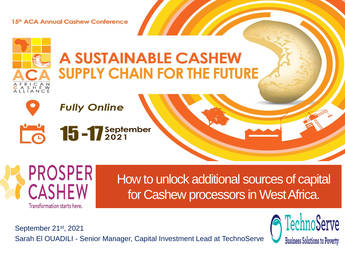15th ACA Annual Cashew Conference

# **A SUSTAINABLE CASHEW SUPPLY CHAIN FOR THE FUTURE**



 $S$  H  $E$  W

**Fully Online** 





How to unlock additional sources of capital for Cashew processors in West Africa.

September 21<sup>st</sup>, 2021 Sarah El OUADILI - Senior Manager, Capital Investment Lead at TechnoServe

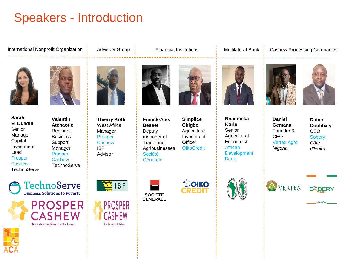## Speakers - Introduction

International Nonprofit Organization | Advisory Group | Financial Institutions | Multilateral Bank | Cashew Processing Companies



**Sarah El Ouadili** Senior Manager Capital Investment Lead Prosper Cashew – **TechnoServe** 



**Valentin Atchaoue** Regional **Business Support** Manager Prosper Cashew – **TechnoServe** 







**Thierry Koffi** West Africa Manager Prosper **Cashew** ISF Advisor

Transformation starts here.



**Franck-Alex Besset Deputy** manager of Trade and Agribusinesses Société Générale





**Simplice Chigbo Agriculture** 













**Nnaemeka Korie** Senior





**Daniel Gemana** Founder & CEO Vertex Agro *Nigeria* 

**Didier Coulibaly** CEO **Sobery** *Côte d'Ivoire*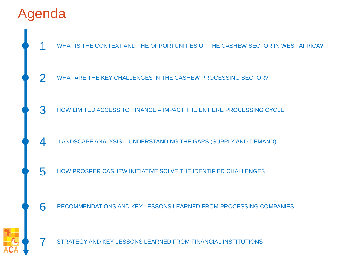# Agenda

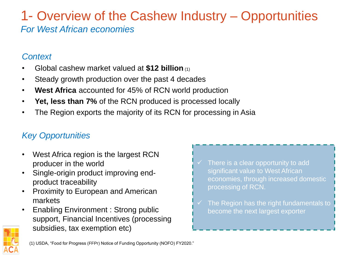### 1- Overview of the Cashew Industry – Opportunities *For West African economies*

#### *Context*

- Global cashew market valued at **\$12 billion** (1)
- Steady growth production over the past 4 decades
- **West Africa** accounted for 45% of RCN world production
- **Yet, less than 7%** of the RCN produced is processed locally
- The Region exports the majority of its RCN for processing in Asia

### *Key Opportunities*

- West Africa region is the largest RCN producer in the world
- Single-origin product improving endproduct traceability
- Proximity to European and American markets
- Enabling Environment : Strong public support, Financial Incentives (processing subsidies, tax exemption etc)



The Region has the right fundamentals to become the next largest exporter

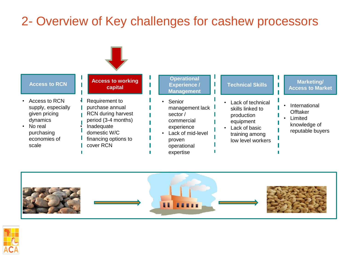## 2- Overview of Key challenges for cashew processors





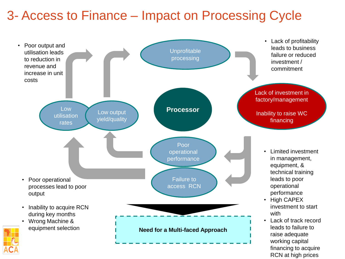## 3- Access to Finance – Impact on Processing Cycle

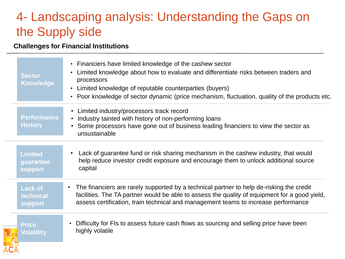## 4- Landscaping analysis: Understanding the Gaps on the Supply side

#### **Challenges for Financial Institutions**

|  | <b>Sector</b><br><b>Knowledge</b>             | • Financiers have limited knowledge of the cashew sector<br>Limited knowledge about how to evaluate and differentiate risks between traders and<br>$\bullet$<br>processors<br>Limited knowledge of reputable counterparties (buyers)<br>$\bullet$<br>• Poor knowledge of sector dynamic (price mechanism, fluctuation, quality of the products etc. |
|--|-----------------------------------------------|-----------------------------------------------------------------------------------------------------------------------------------------------------------------------------------------------------------------------------------------------------------------------------------------------------------------------------------------------------|
|  | <b>Performance</b><br><b>History</b>          | • Limited industry/processors track record<br>Industry tainted with history of non-performing loans<br>$\bullet$<br>Some processors have gone out of business leading financiers to view the sector as<br>unsustainable                                                                                                                             |
|  | <b>Limited</b><br>guarantee<br><b>support</b> | Lack of guarantee fund or risk sharing mechanism in the cashew industry, that would<br>$\bullet$<br>help reduce investor credit exposure and encourage them to unlock additional source<br>capital                                                                                                                                                  |
|  | <b>Lack of</b><br>technical<br><b>support</b> | The financiers are rarely supported by a technical partner to help de-risking the credit<br>$\bullet$<br>facilities. The TA partner would be able to assess the quality of equipment for a good yield,<br>assess certification, train technical and management teams to increase performance                                                        |
|  | <b>Price</b><br>Volatility                    | Difficulty for FIs to assess future cash flows as sourcing and selling price have been<br>highly volatile                                                                                                                                                                                                                                           |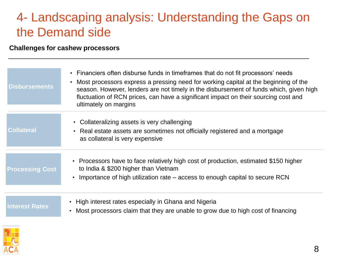### 4- Landscaping analysis: Understanding the Gaps on the Demand side

#### **Challenges for cashew processors**

| <b>Disbursements</b>   | • Financiers often disburse funds in timeframes that do not fit processors' needs<br>Most processors express a pressing need for working capital at the beginning of the<br>season. However, lenders are not timely in the disbursement of funds which, given high<br>fluctuation of RCN prices, can have a significant impact on their sourcing cost and<br>ultimately on margins |  |
|------------------------|------------------------------------------------------------------------------------------------------------------------------------------------------------------------------------------------------------------------------------------------------------------------------------------------------------------------------------------------------------------------------------|--|
|                        |                                                                                                                                                                                                                                                                                                                                                                                    |  |
|                        | • Collateralizing assets is very challenging                                                                                                                                                                                                                                                                                                                                       |  |
| <b>Collateral</b>      | • Real estate assets are sometimes not officially registered and a mortgage<br>as collateral is very expensive                                                                                                                                                                                                                                                                     |  |
|                        |                                                                                                                                                                                                                                                                                                                                                                                    |  |
| <b>Processing Cost</b> | • Processors have to face relatively high cost of production, estimated \$150 higher<br>to India & \$200 higher than Vietnam                                                                                                                                                                                                                                                       |  |
|                        | • Importance of high utilization rate – access to enough capital to secure RCN                                                                                                                                                                                                                                                                                                     |  |
|                        |                                                                                                                                                                                                                                                                                                                                                                                    |  |
|                        | • High interest rates especially in Ghana and Nigeria                                                                                                                                                                                                                                                                                                                              |  |
| <b>Interest Rates</b>  | Most processors claim that they are unable to grow due to high cost of financing                                                                                                                                                                                                                                                                                                   |  |

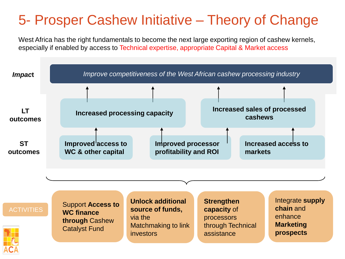# 5- Prosper Cashew Initiative – Theory of Change

West Africa has the right fundamentals to become the next large exporting region of cashew kernels, especially if enabled by access to Technical expertise, appropriate Capital & Market access

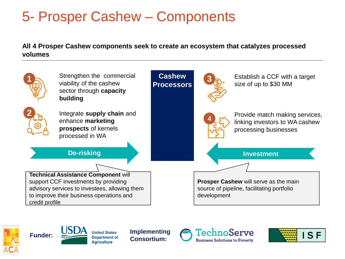## 5- Prosper Cashew – Components

#### **All 4 Prosper Cashew components seek to create an ecosystem that catalyzes processed volumes**







**Aariculture** 

**Consortium:**



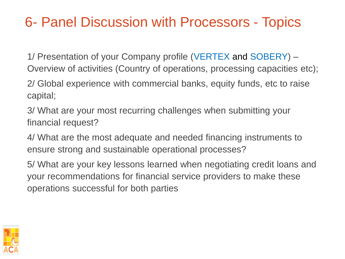## 6- Panel Discussion with Processors - Topics

1/ Presentation of your Company profile (VERTEX and SOBERY) – Overview of activities (Country of operations, processing capacities etc);

2/ Global experience with commercial banks, equity funds, etc to raise capital;

3/ What are your most recurring challenges when submitting your financial request?

4/ What are the most adequate and needed financing instruments to ensure strong and sustainable operational processes?

5/ What are your key lessons learned when negotiating credit loans and your recommendations for financial service providers to make these operations successful for both parties